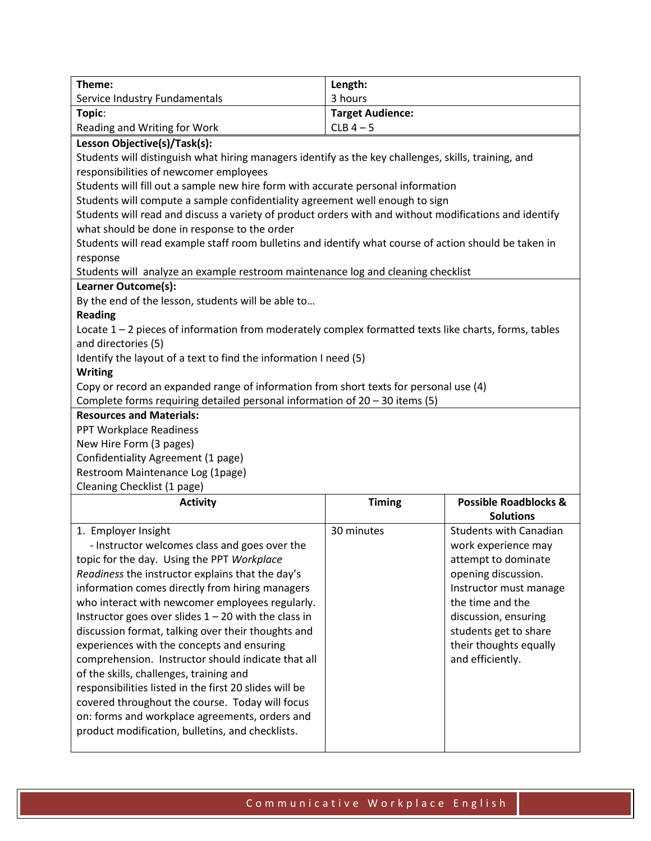| Theme:                                                                                                 | Length:                 |                                  |  |  |
|--------------------------------------------------------------------------------------------------------|-------------------------|----------------------------------|--|--|
| Service Industry Fundamentals                                                                          | 3 hours                 |                                  |  |  |
| Topic:                                                                                                 | <b>Target Audience:</b> |                                  |  |  |
| Reading and Writing for Work                                                                           | $CLB$ 4 - 5             |                                  |  |  |
| Lesson Objective(s)/Task(s):                                                                           |                         |                                  |  |  |
| Students will distinguish what hiring managers identify as the key challenges, skills, training, and   |                         |                                  |  |  |
| responsibilities of newcomer employees                                                                 |                         |                                  |  |  |
| Students will fill out a sample new hire form with accurate personal information                       |                         |                                  |  |  |
| Students will compute a sample confidentiality agreement well enough to sign                           |                         |                                  |  |  |
| Students will read and discuss a variety of product orders with and without modifications and identify |                         |                                  |  |  |
| what should be done in response to the order                                                           |                         |                                  |  |  |
| Students will read example staff room bulletins and identify what course of action should be taken in  |                         |                                  |  |  |
| response                                                                                               |                         |                                  |  |  |
| Students will analyze an example restroom maintenance log and cleaning checklist                       |                         |                                  |  |  |
| Learner Outcome(s):                                                                                    |                         |                                  |  |  |
| By the end of the lesson, students will be able to                                                     |                         |                                  |  |  |
| <b>Reading</b>                                                                                         |                         |                                  |  |  |
| Locate 1 - 2 pieces of information from moderately complex formatted texts like charts, forms, tables  |                         |                                  |  |  |
| and directories (5)                                                                                    |                         |                                  |  |  |
| Identify the layout of a text to find the information I need (5)                                       |                         |                                  |  |  |
| <b>Writing</b>                                                                                         |                         |                                  |  |  |
| Copy or record an expanded range of information from short texts for personal use (4)                  |                         |                                  |  |  |
| Complete forms requiring detailed personal information of 20 - 30 items (5)                            |                         |                                  |  |  |
| <b>Resources and Materials:</b>                                                                        |                         |                                  |  |  |
| PPT Workplace Readiness                                                                                |                         |                                  |  |  |
| New Hire Form (3 pages)                                                                                |                         |                                  |  |  |
| Confidentiality Agreement (1 page)                                                                     |                         |                                  |  |  |
| Restroom Maintenance Log (1page)                                                                       |                         |                                  |  |  |
| Cleaning Checklist (1 page)                                                                            |                         |                                  |  |  |
| <b>Activity</b>                                                                                        | <b>Timing</b>           | <b>Possible Roadblocks &amp;</b> |  |  |
|                                                                                                        |                         | <b>Solutions</b>                 |  |  |
| 1. Employer Insight                                                                                    | 30 minutes              | <b>Students with Canadian</b>    |  |  |
| - Instructor welcomes class and goes over the                                                          |                         | work experience may              |  |  |
| topic for the day. Using the PPT Workplace                                                             |                         | attempt to dominate              |  |  |
| Readiness the instructor explains that the day's                                                       |                         |                                  |  |  |
| information comes directly from hiring managers<br>who interact with newcomer employees regularly.     |                         | opening discussion.              |  |  |
|                                                                                                        |                         | Instructor must manage           |  |  |
|                                                                                                        |                         | the time and the                 |  |  |
| Instructor goes over slides $1 - 20$ with the class in                                                 |                         | discussion, ensuring             |  |  |
| discussion format, talking over their thoughts and                                                     |                         | students get to share            |  |  |
| experiences with the concepts and ensuring                                                             |                         | their thoughts equally           |  |  |
| comprehension. Instructor should indicate that all                                                     |                         | and efficiently.                 |  |  |
| of the skills, challenges, training and                                                                |                         |                                  |  |  |
| responsibilities listed in the first 20 slides will be                                                 |                         |                                  |  |  |
| covered throughout the course. Today will focus                                                        |                         |                                  |  |  |
| on: forms and workplace agreements, orders and<br>product modification, bulletins, and checklists.     |                         |                                  |  |  |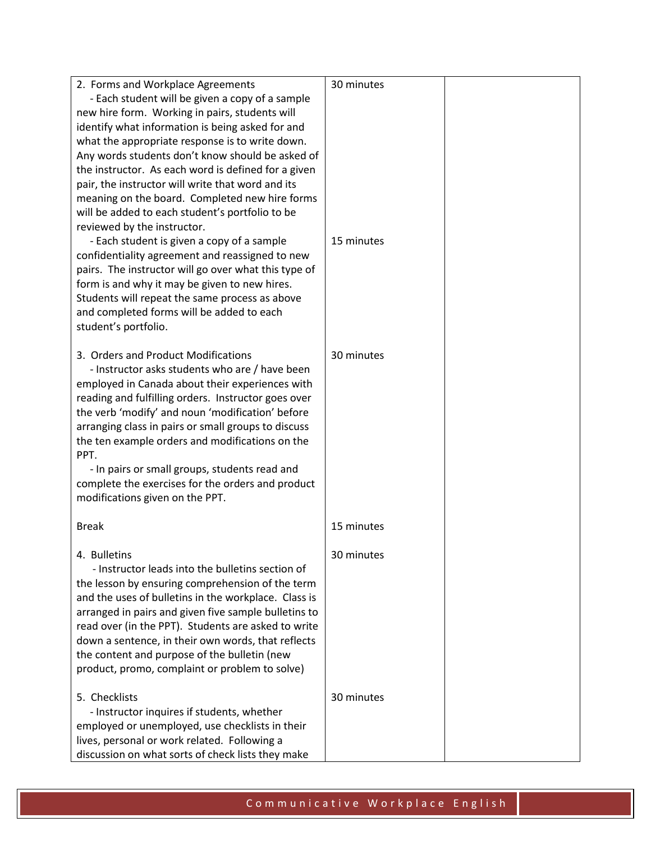| 2. Forms and Workplace Agreements<br>- Each student will be given a copy of a sample<br>new hire form. Working in pairs, students will<br>identify what information is being asked for and<br>what the appropriate response is to write down.<br>Any words students don't know should be asked of<br>the instructor. As each word is defined for a given<br>pair, the instructor will write that word and its<br>meaning on the board. Completed new hire forms<br>will be added to each student's portfolio to be<br>reviewed by the instructor. | 30 minutes |  |
|---------------------------------------------------------------------------------------------------------------------------------------------------------------------------------------------------------------------------------------------------------------------------------------------------------------------------------------------------------------------------------------------------------------------------------------------------------------------------------------------------------------------------------------------------|------------|--|
| - Each student is given a copy of a sample<br>confidentiality agreement and reassigned to new<br>pairs. The instructor will go over what this type of<br>form is and why it may be given to new hires.<br>Students will repeat the same process as above<br>and completed forms will be added to each<br>student's portfolio.                                                                                                                                                                                                                     | 15 minutes |  |
| 3. Orders and Product Modifications<br>- Instructor asks students who are / have been<br>employed in Canada about their experiences with<br>reading and fulfilling orders. Instructor goes over<br>the verb 'modify' and noun 'modification' before<br>arranging class in pairs or small groups to discuss<br>the ten example orders and modifications on the<br>PPT.<br>- In pairs or small groups, students read and<br>complete the exercises for the orders and product<br>modifications given on the PPT.                                    | 30 minutes |  |
| <b>Break</b>                                                                                                                                                                                                                                                                                                                                                                                                                                                                                                                                      | 15 minutes |  |
| 4. Bulletins<br>- Instructor leads into the bulletins section of<br>the lesson by ensuring comprehension of the term<br>and the uses of bulletins in the workplace. Class is<br>arranged in pairs and given five sample bulletins to<br>read over (in the PPT). Students are asked to write<br>down a sentence, in their own words, that reflects<br>the content and purpose of the bulletin (new<br>product, promo, complaint or problem to solve)                                                                                               | 30 minutes |  |
| 5. Checklists<br>- Instructor inquires if students, whether<br>employed or unemployed, use checklists in their<br>lives, personal or work related. Following a<br>discussion on what sorts of check lists they make                                                                                                                                                                                                                                                                                                                               | 30 minutes |  |